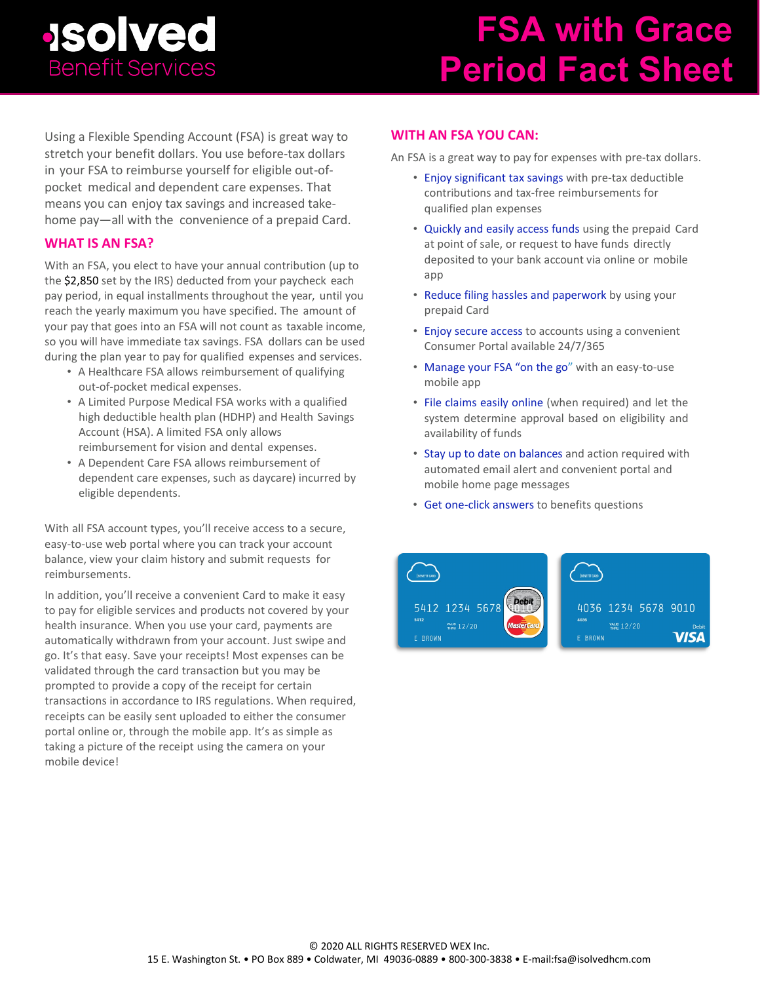### **JSO Ved Benefit Services**

# **FSA with Grace Period Fact Sheet**

Using a Flexible Spending Account (FSA) is great way to stretch your benefit dollars. You use before-tax dollars in your FSA to reimburse yourself for eligible out-ofpocket medical and dependent care expenses. That means you can enjoy tax savings and increased takehome pay—all with the convenience of a prepaid Card.

### **WHAT IS AN FSA?**

With an FSA, you elect to have your annual contribution (up to the \$2,850 set by the IRS) deducted from your paycheck each pay period, in equal installments throughout the year, until you reach the yearly maximum you have specified. The amount of your pay that goes into an FSA will not count as taxable income, so you will have immediate tax savings. FSA dollars can be used during the plan year to pay for qualified expenses and services.

- A Healthcare FSA allows reimbursement of qualifying out-of-pocket medical expenses.
- A Limited Purpose Medical FSA works with a qualified high deductible health plan (HDHP) and Health Savings Account (HSA). A limited FSA only allows reimbursement for vision and dental expenses.
- A Dependent Care FSA allows reimbursement of dependent care expenses, such as daycare) incurred by eligible dependents.

With all FSA account types, you'll receive access to a secure, easy-to-use web portal where you can track your account balance, view your claim history and submit requests for reimbursements.

In addition, you'll receive a convenient Card to make it easy to pay for eligible services and products not covered by your health insurance. When you use your card, payments are automatically withdrawn from your account. Just swipe and go. It's that easy. Save your receipts! Most expenses can be validated through the card transaction but you may be prompted to provide a copy of the receipt for certain transactions in accordance to IRS regulations. When required, receipts can be easily sent uploaded to either the consumer portal online or, through the mobile app. It's as simple as taking a picture of the receipt using the camera on your mobile device!

### **WITH AN FSA YOU CAN:**

An FSA is a great way to pay for expenses with pre-tax dollars.

- Enjoy significant tax savings with pre-tax deductible contributions and tax-free reimbursements for qualified plan expenses
- Quickly and easily access funds using the prepaid Card at point of sale, or request to have funds directly deposited to your bank account via online or mobile app
- Reduce filing hassles and paperwork by using your prepaid Card
- Enjoy secure access to accounts using a convenient Consumer Portal available 24/7/365
- Manage your FSA "on the go" with an easy-to-use mobile app
- File claims easily online (when required) and let the system determine approval based on eligibility and availability of funds
- Stay up to date on balances and action required with automated email alert and convenient portal and mobile home page messages
- Get one-click answers to benefits questions